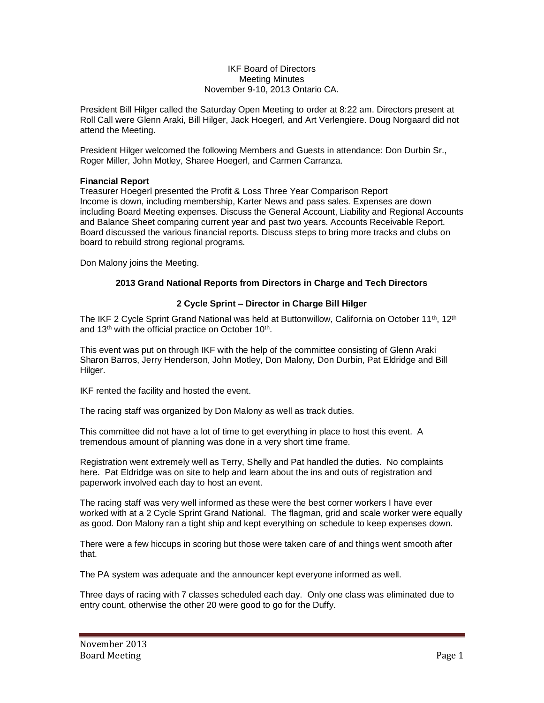#### IKF Board of Directors Meeting Minutes November 9-10, 2013 Ontario CA.

President Bill Hilger called the Saturday Open Meeting to order at 8:22 am. Directors present at Roll Call were Glenn Araki, Bill Hilger, Jack Hoegerl, and Art Verlengiere. Doug Norgaard did not attend the Meeting.

President Hilger welcomed the following Members and Guests in attendance: Don Durbin Sr., Roger Miller, John Motley, Sharee Hoegerl, and Carmen Carranza.

## **Financial Report**

Treasurer Hoegerl presented the Profit & Loss Three Year Comparison Report Income is down, including membership, Karter News and pass sales. Expenses are down including Board Meeting expenses. Discuss the General Account, Liability and Regional Accounts and Balance Sheet comparing current year and past two years. Accounts Receivable Report. Board discussed the various financial reports. Discuss steps to bring more tracks and clubs on board to rebuild strong regional programs.

Don Malony joins the Meeting.

#### **2013 Grand National Reports from Directors in Charge and Tech Directors**

#### **2 Cycle Sprint – Director in Charge Bill Hilger**

The IKF 2 Cycle Sprint Grand National was held at Buttonwillow, California on October 11<sup>th</sup>, 12<sup>th</sup> and 13<sup>th</sup> with the official practice on October 10<sup>th</sup>.

This event was put on through IKF with the help of the committee consisting of Glenn Araki Sharon Barros, Jerry Henderson, John Motley, Don Malony, Don Durbin, Pat Eldridge and Bill Hilger.

IKF rented the facility and hosted the event.

The racing staff was organized by Don Malony as well as track duties.

This committee did not have a lot of time to get everything in place to host this event. A tremendous amount of planning was done in a very short time frame.

Registration went extremely well as Terry, Shelly and Pat handled the duties. No complaints here. Pat Eldridge was on site to help and learn about the ins and outs of registration and paperwork involved each day to host an event.

The racing staff was very well informed as these were the best corner workers I have ever worked with at a 2 Cycle Sprint Grand National. The flagman, grid and scale worker were equally as good. Don Malony ran a tight ship and kept everything on schedule to keep expenses down.

There were a few hiccups in scoring but those were taken care of and things went smooth after that.

The PA system was adequate and the announcer kept everyone informed as well.

Three days of racing with 7 classes scheduled each day. Only one class was eliminated due to entry count, otherwise the other 20 were good to go for the Duffy.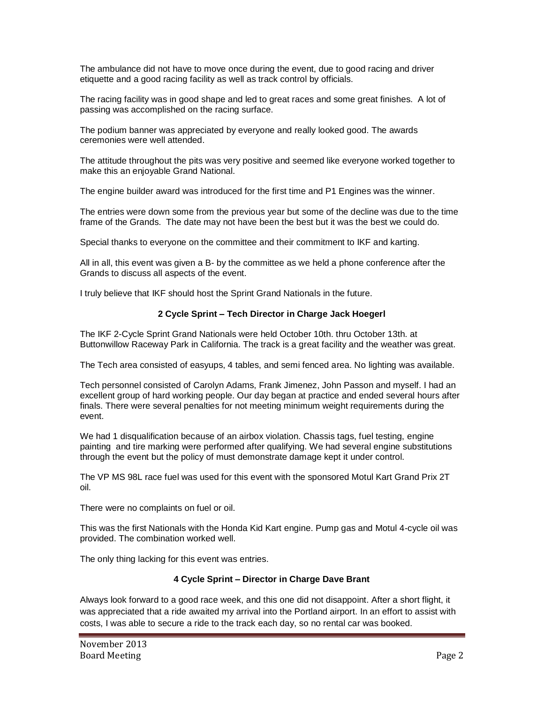The ambulance did not have to move once during the event, due to good racing and driver etiquette and a good racing facility as well as track control by officials.

The racing facility was in good shape and led to great races and some great finishes. A lot of passing was accomplished on the racing surface.

The podium banner was appreciated by everyone and really looked good. The awards ceremonies were well attended.

The attitude throughout the pits was very positive and seemed like everyone worked together to make this an enjoyable Grand National.

The engine builder award was introduced for the first time and P1 Engines was the winner.

The entries were down some from the previous year but some of the decline was due to the time frame of the Grands. The date may not have been the best but it was the best we could do.

Special thanks to everyone on the committee and their commitment to IKF and karting.

All in all, this event was given a B- by the committee as we held a phone conference after the Grands to discuss all aspects of the event.

I truly believe that IKF should host the Sprint Grand Nationals in the future.

## **2 Cycle Sprint – Tech Director in Charge Jack Hoegerl**

The IKF 2-Cycle Sprint Grand Nationals were held October 10th. thru October 13th. at Buttonwillow Raceway Park in California. The track is a great facility and the weather was great.

The Tech area consisted of easyups, 4 tables, and semi fenced area. No lighting was available.

Tech personnel consisted of Carolyn Adams, Frank Jimenez, John Passon and myself. I had an excellent group of hard working people. Our day began at practice and ended several hours after finals. There were several penalties for not meeting minimum weight requirements during the event.

We had 1 disqualification because of an airbox violation. Chassis tags, fuel testing, engine painting and tire marking were performed after qualifying. We had several engine substitutions through the event but the policy of must demonstrate damage kept it under control.

The VP MS 98L race fuel was used for this event with the sponsored Motul Kart Grand Prix 2T oil.

There were no complaints on fuel or oil.

This was the first Nationals with the Honda Kid Kart engine. Pump gas and Motul 4-cycle oil was provided. The combination worked well.

The only thing lacking for this event was entries.

## **4 Cycle Sprint – Director in Charge Dave Brant**

Always look forward to a good race week, and this one did not disappoint. After a short flight, it was appreciated that a ride awaited my arrival into the Portland airport. In an effort to assist with costs, I was able to secure a ride to the track each day, so no rental car was booked.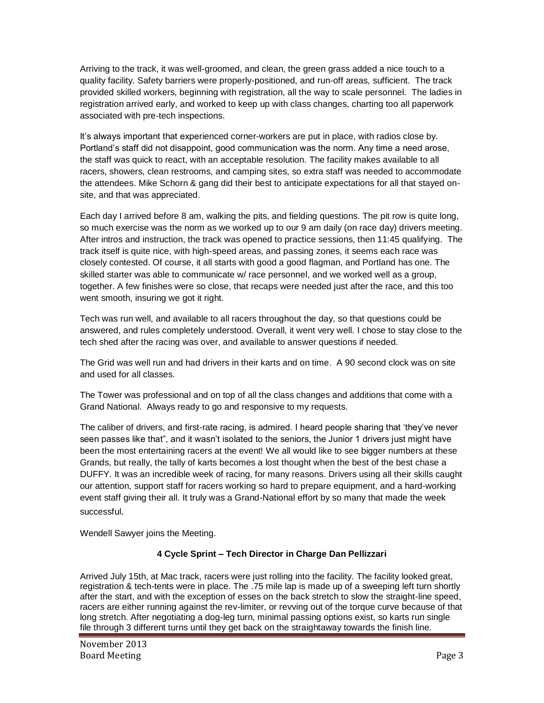Arriving to the track, it was well-groomed, and clean, the green grass added a nice touch to a quality facility. Safety barriers were properly-positioned, and run-off areas, sufficient. The track provided skilled workers, beginning with registration, all the way to scale personnel. The ladies in registration arrived early, and worked to keep up with class changes, charting too all paperwork associated with pre-tech inspections.

It's always important that experienced corner-workers are put in place, with radios close by. Portland's staff did not disappoint, good communication was the norm. Any time a need arose, the staff was quick to react, with an acceptable resolution. The facility makes available to all racers, showers, clean restrooms, and camping sites, so extra staff was needed to accommodate the attendees. Mike Schorn & gang did their best to anticipate expectations for all that stayed onsite, and that was appreciated.

Each day I arrived before 8 am, walking the pits, and fielding questions. The pit row is quite long, so much exercise was the norm as we worked up to our 9 am daily (on race day) drivers meeting. After intros and instruction, the track was opened to practice sessions, then 11:45 qualifying. The track itself is quite nice, with high-speed areas, and passing zones, it seems each race was closely contested. Of course, it all starts with good a good flagman, and Portland has one. The skilled starter was able to communicate w/ race personnel, and we worked well as a group, together. A few finishes were so close, that recaps were needed just after the race, and this too went smooth, insuring we got it right.

Tech was run well, and available to all racers throughout the day, so that questions could be answered, and rules completely understood. Overall, it went very well. I chose to stay close to the tech shed after the racing was over, and available to answer questions if needed.

The Grid was well run and had drivers in their karts and on time. A 90 second clock was on site and used for all classes.

The Tower was professional and on top of all the class changes and additions that come with a Grand National. Always ready to go and responsive to my requests.

The caliber of drivers, and first-rate racing, is admired. I heard people sharing that 'they've never seen passes like that", and it wasn't isolated to the seniors, the Junior 1 drivers just might have been the most entertaining racers at the event! We all would like to see bigger numbers at these Grands, but really, the tally of karts becomes a lost thought when the best of the best chase a DUFFY. It was an incredible week of racing, for many reasons. Drivers using all their skills caught our attention, support staff for racers working so hard to prepare equipment, and a hard-working event staff giving their all. It truly was a Grand-National effort by so many that made the week successful.

Wendell Sawyer joins the Meeting.

# **4 Cycle Sprint – Tech Director in Charge Dan Pellizzari**

Arrived July 15th, at Mac track, racers were just rolling into the facility. The facility looked great, registration & tech-tents were in place. The .75 mile lap is made up of a sweeping left turn shortly after the start, and with the exception of esses on the back stretch to slow the straight-line speed, racers are either running against the rev-limiter, or revving out of the torque curve because of that long stretch. After negotiating a dog-leg turn, minimal passing options exist, so karts run single file through 3 different turns until they get back on the straightaway towards the finish line.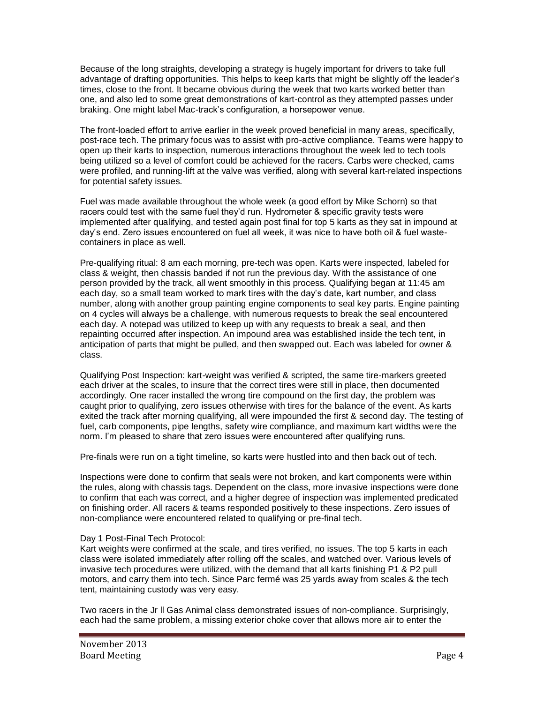Because of the long straights, developing a strategy is hugely important for drivers to take full advantage of drafting opportunities. This helps to keep karts that might be slightly off the leader's times, close to the front. It became obvious during the week that two karts worked better than one, and also led to some great demonstrations of kart-control as they attempted passes under braking. One might label Mac-track's configuration, a horsepower venue.

The front-loaded effort to arrive earlier in the week proved beneficial in many areas, specifically, post-race tech. The primary focus was to assist with pro-active compliance. Teams were happy to open up their karts to inspection, numerous interactions throughout the week led to tech tools being utilized so a level of comfort could be achieved for the racers. Carbs were checked, cams were profiled, and running-lift at the valve was verified, along with several kart-related inspections for potential safety issues.

Fuel was made available throughout the whole week (a good effort by Mike Schorn) so that racers could test with the same fuel they'd run. Hydrometer & specific gravity tests were implemented after qualifying, and tested again post final for top 5 karts as they sat in impound at day's end. Zero issues encountered on fuel all week, it was nice to have both oil & fuel wastecontainers in place as well.

Pre-qualifying ritual: 8 am each morning, pre-tech was open. Karts were inspected, labeled for class & weight, then chassis banded if not run the previous day. With the assistance of one person provided by the track, all went smoothly in this process. Qualifying began at 11:45 am each day, so a small team worked to mark tires with the day's date, kart number, and class number, along with another group painting engine components to seal key parts. Engine painting on 4 cycles will always be a challenge, with numerous requests to break the seal encountered each day. A notepad was utilized to keep up with any requests to break a seal, and then repainting occurred after inspection. An impound area was established inside the tech tent, in anticipation of parts that might be pulled, and then swapped out. Each was labeled for owner & class.

Qualifying Post Inspection: kart-weight was verified & scripted, the same tire-markers greeted each driver at the scales, to insure that the correct tires were still in place, then documented accordingly. One racer installed the wrong tire compound on the first day, the problem was caught prior to qualifying, zero issues otherwise with tires for the balance of the event. As karts exited the track after morning qualifying, all were impounded the first & second day. The testing of fuel, carb components, pipe lengths, safety wire compliance, and maximum kart widths were the norm. I'm pleased to share that zero issues were encountered after qualifying runs.

Pre-finals were run on a tight timeline, so karts were hustled into and then back out of tech.

Inspections were done to confirm that seals were not broken, and kart components were within the rules, along with chassis tags. Dependent on the class, more invasive inspections were done to confirm that each was correct, and a higher degree of inspection was implemented predicated on finishing order. All racers & teams responded positively to these inspections. Zero issues of non-compliance were encountered related to qualifying or pre-final tech.

## Day 1 Post-Final Tech Protocol:

Kart weights were confirmed at the scale, and tires verified, no issues. The top 5 karts in each class were isolated immediately after rolling off the scales, and watched over. Various levels of invasive tech procedures were utilized, with the demand that all karts finishing P1 & P2 pull motors, and carry them into tech. Since Parc fermé was 25 yards away from scales & the tech tent, maintaining custody was very easy.

Two racers in the Jr ll Gas Animal class demonstrated issues of non-compliance. Surprisingly, each had the same problem, a missing exterior choke cover that allows more air to enter the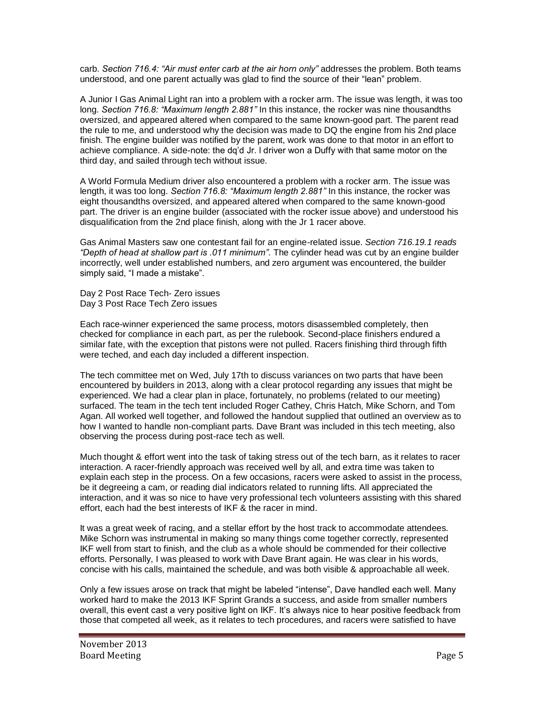carb. Section 716.4: "Air must enter carb at the air horn only" addresses the problem. Both teams understood, and one parent actually was glad to find the source of their "lean" problem.

A Junior I Gas Animal Light ran into a problem with a rocker arm. The issue was length, it was too long. *Section 716.8: "Maximum length 2.881"* In this instance, the rocker was nine thousandths oversized, and appeared altered when compared to the same known-good part. The parent read the rule to me, and understood why the decision was made to DQ the engine from his 2nd place finish. The engine builder was notified by the parent, work was done to that motor in an effort to achieve compliance. A side-note: the dq'd Jr. l driver won a Duffy with that same motor on the third day, and sailed through tech without issue.

A World Formula Medium driver also encountered a problem with a rocker arm. The issue was length, it was too long. *Section 716.8: "Maximum length 2.881"* In this instance, the rocker was eight thousandths oversized, and appeared altered when compared to the same known-good part. The driver is an engine builder (associated with the rocker issue above) and understood his disqualification from the 2nd place finish, along with the Jr 1 racer above.

Gas Animal Masters saw one contestant fail for an engine-related issue. *Section 716.19.1 reads "Depth of head at shallow part is .011 minimum"*. The cylinder head was cut by an engine builder incorrectly, well under established numbers, and zero argument was encountered, the builder simply said, "I made a mistake".

Day 2 Post Race Tech- Zero issues Day 3 Post Race Tech Zero issues

Each race-winner experienced the same process, motors disassembled completely, then checked for compliance in each part, as per the rulebook. Second-place finishers endured a similar fate, with the exception that pistons were not pulled. Racers finishing third through fifth were teched, and each day included a different inspection.

The tech committee met on Wed, July 17th to discuss variances on two parts that have been encountered by builders in 2013, along with a clear protocol regarding any issues that might be experienced. We had a clear plan in place, fortunately, no problems (related to our meeting) surfaced. The team in the tech tent included Roger Cathey, Chris Hatch, Mike Schorn, and Tom Agan. All worked well together, and followed the handout supplied that outlined an overview as to how I wanted to handle non-compliant parts. Dave Brant was included in this tech meeting, also observing the process during post-race tech as well.

Much thought & effort went into the task of taking stress out of the tech barn, as it relates to racer interaction. A racer-friendly approach was received well by all, and extra time was taken to explain each step in the process. On a few occasions, racers were asked to assist in the process, be it degreeing a cam, or reading dial indicators related to running lifts. All appreciated the interaction, and it was so nice to have very professional tech volunteers assisting with this shared effort, each had the best interests of IKF & the racer in mind.

It was a great week of racing, and a stellar effort by the host track to accommodate attendees. Mike Schorn was instrumental in making so many things come together correctly, represented IKF well from start to finish, and the club as a whole should be commended for their collective efforts. Personally, I was pleased to work with Dave Brant again. He was clear in his words, concise with his calls, maintained the schedule, and was both visible & approachable all week.

Only a few issues arose on track that might be labeled "intense", Dave handled each well. Many worked hard to make the 2013 IKF Sprint Grands a success, and aside from smaller numbers overall, this event cast a very positive light on IKF. It's always nice to hear positive feedback from those that competed all week, as it relates to tech procedures, and racers were satisfied to have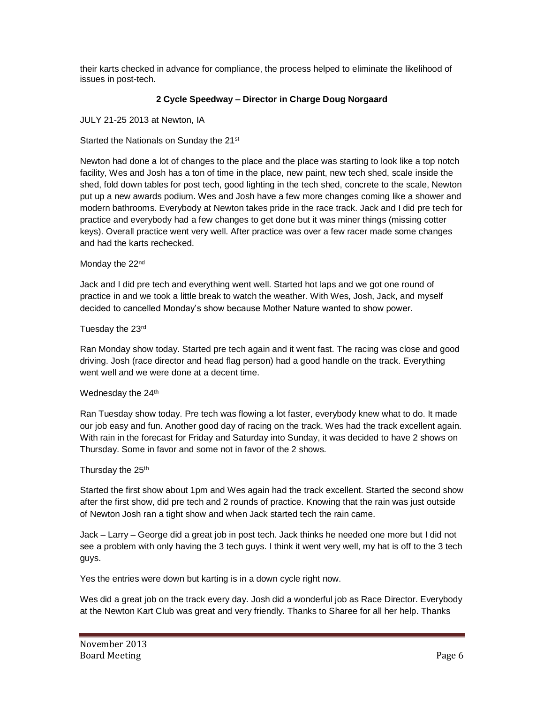their karts checked in advance for compliance, the process helped to eliminate the likelihood of issues in post-tech.

# **2 Cycle Speedway – Director in Charge Doug Norgaard**

JULY 21-25 2013 at Newton, IA

Started the Nationals on Sunday the 21<sup>st</sup>

Newton had done a lot of changes to the place and the place was starting to look like a top notch facility, Wes and Josh has a ton of time in the place, new paint, new tech shed, scale inside the shed, fold down tables for post tech, good lighting in the tech shed, concrete to the scale, Newton put up a new awards podium. Wes and Josh have a few more changes coming like a shower and modern bathrooms. Everybody at Newton takes pride in the race track. Jack and I did pre tech for practice and everybody had a few changes to get done but it was miner things (missing cotter keys). Overall practice went very well. After practice was over a few racer made some changes and had the karts rechecked.

#### Monday the 22<sup>nd</sup>

Jack and I did pre tech and everything went well. Started hot laps and we got one round of practice in and we took a little break to watch the weather. With Wes, Josh, Jack, and myself decided to cancelled Monday's show because Mother Nature wanted to show power.

#### Tuesday the 23rd

Ran Monday show today. Started pre tech again and it went fast. The racing was close and good driving. Josh (race director and head flag person) had a good handle on the track. Everything went well and we were done at a decent time.

#### Wednesday the  $24<sup>th</sup>$

Ran Tuesday show today. Pre tech was flowing a lot faster, everybody knew what to do. It made our job easy and fun. Another good day of racing on the track. Wes had the track excellent again. With rain in the forecast for Friday and Saturday into Sunday, it was decided to have 2 shows on Thursday. Some in favor and some not in favor of the 2 shows.

## Thursday the 25<sup>th</sup>

Started the first show about 1pm and Wes again had the track excellent. Started the second show after the first show, did pre tech and 2 rounds of practice. Knowing that the rain was just outside of Newton Josh ran a tight show and when Jack started tech the rain came.

Jack – Larry – George did a great job in post tech. Jack thinks he needed one more but I did not see a problem with only having the 3 tech guys. I think it went very well, my hat is off to the 3 tech guys.

Yes the entries were down but karting is in a down cycle right now.

Wes did a great job on the track every day. Josh did a wonderful job as Race Director. Everybody at the Newton Kart Club was great and very friendly. Thanks to Sharee for all her help. Thanks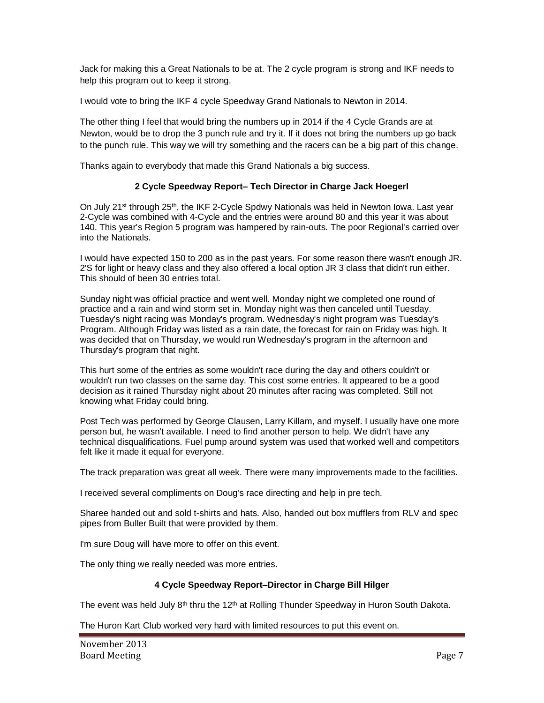Jack for making this a Great Nationals to be at. The 2 cycle program is strong and IKF needs to help this program out to keep it strong.

I would vote to bring the IKF 4 cycle Speedway Grand Nationals to Newton in 2014.

The other thing I feel that would bring the numbers up in 2014 if the 4 Cycle Grands are at Newton, would be to drop the 3 punch rule and try it. If it does not bring the numbers up go back to the punch rule. This way we will try something and the racers can be a big part of this change.

Thanks again to everybody that made this Grand Nationals a big success.

## **2 Cycle Speedway Report– Tech Director in Charge Jack Hoegerl**

On July 21<sup>st</sup> through 25<sup>th</sup>, the IKF 2-Cycle Spdwy Nationals was held in Newton Iowa. Last year 2-Cycle was combined with 4-Cycle and the entries were around 80 and this year it was about 140. This year's Region 5 program was hampered by rain-outs. The poor Regional's carried over into the Nationals.

I would have expected 150 to 200 as in the past years. For some reason there wasn't enough JR. 2'S for light or heavy class and they also offered a local option JR 3 class that didn't run either. This should of been 30 entries total.

Sunday night was official practice and went well. Monday night we completed one round of practice and a rain and wind storm set in. Monday night was then canceled until Tuesday. Tuesday's night racing was Monday's program. Wednesday's night program was Tuesday's Program. Although Friday was listed as a rain date, the forecast for rain on Friday was high. It was decided that on Thursday, we would run Wednesday's program in the afternoon and Thursday's program that night.

This hurt some of the entries as some wouldn't race during the day and others couldn't or wouldn't run two classes on the same day. This cost some entries. It appeared to be a good decision as it rained Thursday night about 20 minutes after racing was completed. Still not knowing what Friday could bring.

Post Tech was performed by George Clausen, Larry Killam, and myself. I usually have one more person but, he wasn't available. I need to find another person to help. We didn't have any technical disqualifications. Fuel pump around system was used that worked well and competitors felt like it made it equal for everyone.

The track preparation was great all week. There were many improvements made to the facilities.

I received several compliments on Doug's race directing and help in pre tech.

Sharee handed out and sold t-shirts and hats. Also, handed out box mufflers from RLV and spec pipes from Buller Built that were provided by them.

I'm sure Doug will have more to offer on this event.

The only thing we really needed was more entries.

## **4 Cycle Speedway Report–Director in Charge Bill Hilger**

The event was held July 8<sup>th</sup> thru the 12<sup>th</sup> at Rolling Thunder Speedway in Huron South Dakota.

The Huron Kart Club worked very hard with limited resources to put this event on.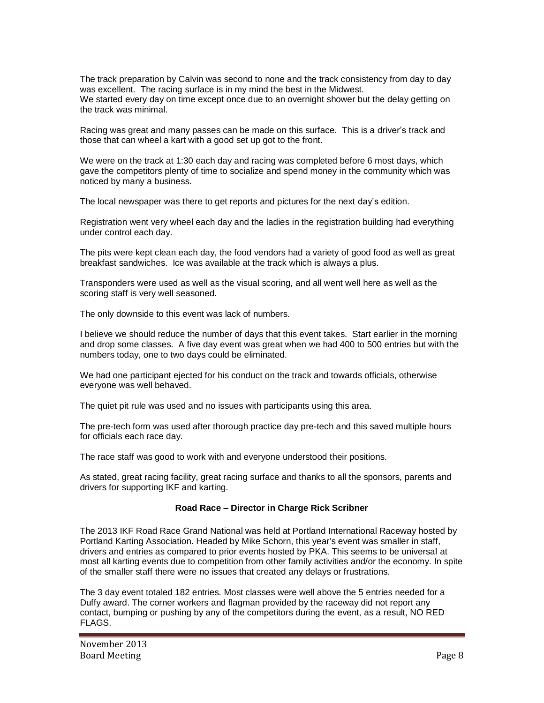The track preparation by Calvin was second to none and the track consistency from day to day was excellent. The racing surface is in my mind the best in the Midwest. We started every day on time except once due to an overnight shower but the delay getting on the track was minimal.

Racing was great and many passes can be made on this surface. This is a driver's track and those that can wheel a kart with a good set up got to the front.

We were on the track at 1:30 each day and racing was completed before 6 most days, which gave the competitors plenty of time to socialize and spend money in the community which was noticed by many a business.

The local newspaper was there to get reports and pictures for the next day's edition.

Registration went very wheel each day and the ladies in the registration building had everything under control each day.

The pits were kept clean each day, the food vendors had a variety of good food as well as great breakfast sandwiches. Ice was available at the track which is always a plus.

Transponders were used as well as the visual scoring, and all went well here as well as the scoring staff is very well seasoned.

The only downside to this event was lack of numbers.

I believe we should reduce the number of days that this event takes. Start earlier in the morning and drop some classes. A five day event was great when we had 400 to 500 entries but with the numbers today, one to two days could be eliminated.

We had one participant ejected for his conduct on the track and towards officials, otherwise everyone was well behaved.

The quiet pit rule was used and no issues with participants using this area.

The pre-tech form was used after thorough practice day pre-tech and this saved multiple hours for officials each race day.

The race staff was good to work with and everyone understood their positions.

As stated, great racing facility, great racing surface and thanks to all the sponsors, parents and drivers for supporting IKF and karting.

## **Road Race – Director in Charge Rick Scribner**

The 2013 IKF Road Race Grand National was held at Portland International Raceway hosted by Portland Karting Association. Headed by Mike Schorn, this year's event was smaller in staff, drivers and entries as compared to prior events hosted by PKA. This seems to be universal at most all karting events due to competition from other family activities and/or the economy. In spite of the smaller staff there were no issues that created any delays or frustrations.

The 3 day event totaled 182 entries. Most classes were well above the 5 entries needed for a Duffy award. The corner workers and flagman provided by the raceway did not report any contact, bumping or pushing by any of the competitors during the event, as a result, NO RED FLAGS.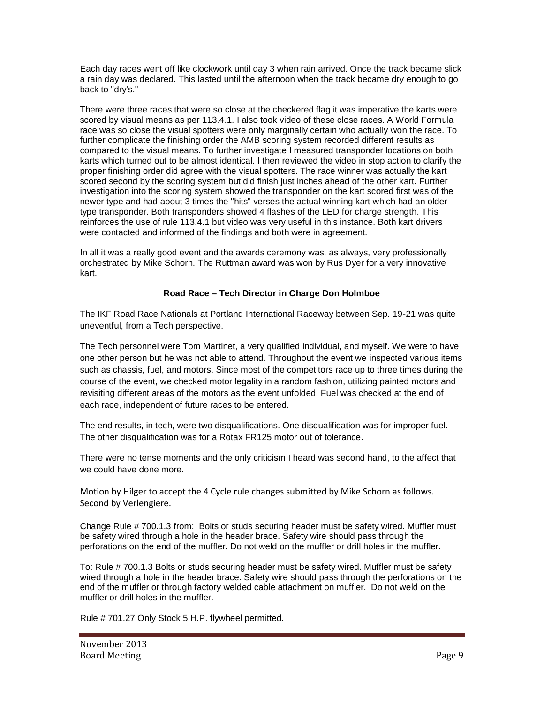Each day races went off like clockwork until day 3 when rain arrived. Once the track became slick a rain day was declared. This lasted until the afternoon when the track became dry enough to go back to "dry's."

There were three races that were so close at the checkered flag it was imperative the karts were scored by visual means as per 113.4.1. I also took video of these close races. A World Formula race was so close the visual spotters were only marginally certain who actually won the race. To further complicate the finishing order the AMB scoring system recorded different results as compared to the visual means. To further investigate I measured transponder locations on both karts which turned out to be almost identical. I then reviewed the video in stop action to clarify the proper finishing order did agree with the visual spotters. The race winner was actually the kart scored second by the scoring system but did finish just inches ahead of the other kart. Further investigation into the scoring system showed the transponder on the kart scored first was of the newer type and had about 3 times the "hits" verses the actual winning kart which had an older type transponder. Both transponders showed 4 flashes of the LED for charge strength. This reinforces the use of rule 113.4.1 but video was very useful in this instance. Both kart drivers were contacted and informed of the findings and both were in agreement.

In all it was a really good event and the awards ceremony was, as always, very professionally orchestrated by Mike Schorn. The Ruttman award was won by Rus Dyer for a very innovative kart.

# **Road Race – Tech Director in Charge Don Holmboe**

The IKF Road Race Nationals at Portland International Raceway between Sep. 19-21 was quite uneventful, from a Tech perspective.

The Tech personnel were Tom Martinet, a very qualified individual, and myself. We were to have one other person but he was not able to attend. Throughout the event we inspected various items such as chassis, fuel, and motors. Since most of the competitors race up to three times during the course of the event, we checked motor legality in a random fashion, utilizing painted motors and revisiting different areas of the motors as the event unfolded. Fuel was checked at the end of each race, independent of future races to be entered.

The end results, in tech, were two disqualifications. One disqualification was for improper fuel. The other disqualification was for a Rotax FR125 motor out of tolerance.

There were no tense moments and the only criticism I heard was second hand, to the affect that we could have done more.

Motion by Hilger to accept the 4 Cycle rule changes submitted by Mike Schorn as follows. Second by Verlengiere.

Change Rule # 700.1.3 from: Bolts or studs securing header must be safety wired. Muffler must be safety wired through a hole in the header brace. Safety wire should pass through the perforations on the end of the muffler. Do not weld on the muffler or drill holes in the muffler.

To: Rule # 700.1.3 Bolts or studs securing header must be safety wired. Muffler must be safety wired through a hole in the header brace. Safety wire should pass through the perforations on the end of the muffler or through factory welded cable attachment on muffler. Do not weld on the muffler or drill holes in the muffler.

Rule # 701.27 Only Stock 5 H.P. flywheel permitted.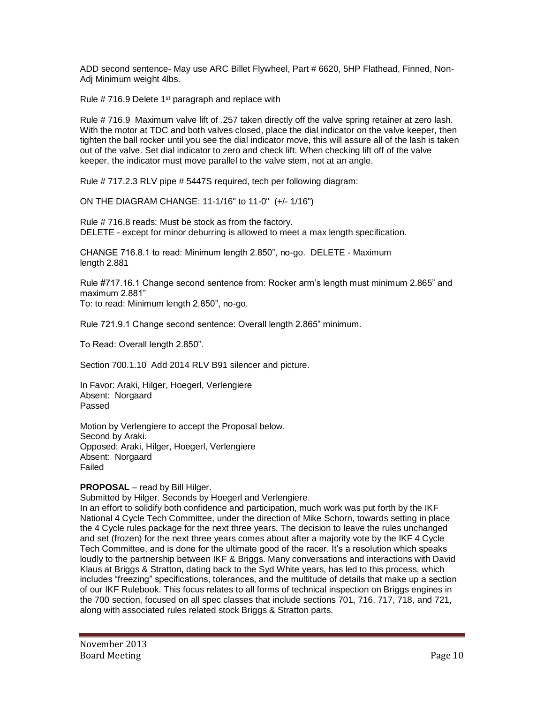ADD second sentence- May use ARC Billet Flywheel, Part # 6620, 5HP Flathead, Finned, Non-Adj Minimum weight 4lbs.

Rule  $# 716.9$  Delete 1<sup>st</sup> paragraph and replace with

Rule # 716.9 Maximum valve lift of .257 taken directly off the valve spring retainer at zero lash. With the motor at TDC and both valves closed, place the dial indicator on the valve keeper, then tighten the ball rocker until you see the dial indicator move, this will assure all of the lash is taken out of the valve. Set dial indicator to zero and check lift. When checking lift off of the valve keeper, the indicator must move parallel to the valve stem, not at an angle.

Rule # 717.2.3 RLV pipe # 5447S required, tech per following diagram:

ON THE DIAGRAM CHANGE: 11-1/16" to 11-0" (+/- 1/16")

Rule # 716.8 reads: Must be stock as from the factory. DELETE - except for minor deburring is allowed to meet a max length specification.

CHANGE 716.8.1 to read: Minimum length 2.850", no-go. DELETE - Maximum length 2.881

Rule #717.16.1 Change second sentence from: Rocker arm's length must minimum 2.865" and maximum 2.881" To: to read: Minimum length 2.850", no-go.

Rule 721.9.1 Change second sentence: Overall length 2.865" minimum.

To Read: Overall length 2.850".

Section 700.1.10 Add 2014 RLV B91 silencer and picture.

In Favor: Araki, Hilger, Hoegerl, Verlengiere Absent: Norgaard Passed

Motion by Verlengiere to accept the Proposal below. Second by Araki. Opposed: Araki, Hilger, Hoegerl, Verlengiere Absent: Norgaard Failed

## **PROPOSAL** – read by Bill Hilger.

Submitted by Hilger. Seconds by Hoegerl and Verlengiere.

In an effort to solidify both confidence and participation, much work was put forth by the IKF National 4 Cycle Tech Committee, under the direction of Mike Schorn, towards setting in place the 4 Cycle rules package for the next three years. The decision to leave the rules unchanged and set (frozen) for the next three years comes about after a majority vote by the IKF 4 Cycle Tech Committee, and is done for the ultimate good of the racer. It's a resolution which speaks loudly to the partnership between IKF & Briggs. Many conversations and interactions with David Klaus at Briggs & Stratton, dating back to the Syd White years, has led to this process, which includes "freezing" specifications, tolerances, and the multitude of details that make up a section of our IKF Rulebook. This focus relates to all forms of technical inspection on Briggs engines in the 700 section, focused on all spec classes that include sections 701, 716, 717, 718, and 721, along with associated rules related stock Briggs & Stratton parts.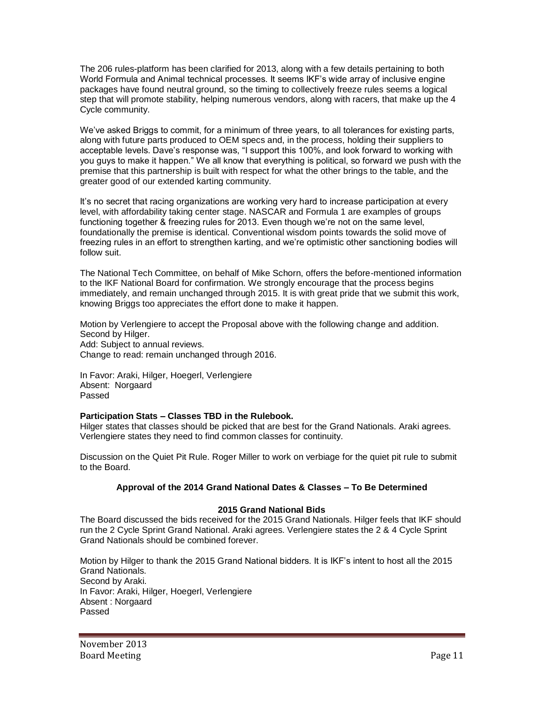The 206 rules-platform has been clarified for 2013, along with a few details pertaining to both World Formula and Animal technical processes. It seems IKF's wide array of inclusive engine packages have found neutral ground, so the timing to collectively freeze rules seems a logical step that will promote stability, helping numerous vendors, along with racers, that make up the 4 Cycle community.

We've asked Briggs to commit, for a minimum of three years, to all tolerances for existing parts, along with future parts produced to OEM specs and, in the process, holding their suppliers to acceptable levels. Dave's response was, "I support this 100%, and look forward to working with you guys to make it happen." We all know that everything is political, so forward we push with the premise that this partnership is built with respect for what the other brings to the table, and the greater good of our extended karting community.

It's no secret that racing organizations are working very hard to increase participation at every level, with affordability taking center stage. NASCAR and Formula 1 are examples of groups functioning together & freezing rules for 2013. Even though we're not on the same level, foundationally the premise is identical. Conventional wisdom points towards the solid move of freezing rules in an effort to strengthen karting, and we're optimistic other sanctioning bodies will follow suit.

The National Tech Committee, on behalf of Mike Schorn, offers the before-mentioned information to the IKF National Board for confirmation. We strongly encourage that the process begins immediately, and remain unchanged through 2015. It is with great pride that we submit this work, knowing Briggs too appreciates the effort done to make it happen.

Motion by Verlengiere to accept the Proposal above with the following change and addition. Second by Hilger. Add: Subject to annual reviews. Change to read: remain unchanged through 2016.

In Favor: Araki, Hilger, Hoegerl, Verlengiere Absent: Norgaard Passed

## **Participation Stats – Classes TBD in the Rulebook.**

Hilger states that classes should be picked that are best for the Grand Nationals. Araki agrees. Verlengiere states they need to find common classes for continuity.

Discussion on the Quiet Pit Rule. Roger Miller to work on verbiage for the quiet pit rule to submit to the Board.

# **Approval of the 2014 Grand National Dates & Classes – To Be Determined**

## **2015 Grand National Bids**

The Board discussed the bids received for the 2015 Grand Nationals. Hilger feels that IKF should run the 2 Cycle Sprint Grand National. Araki agrees. Verlengiere states the 2 & 4 Cycle Sprint Grand Nationals should be combined forever.

Motion by Hilger to thank the 2015 Grand National bidders. It is IKF's intent to host all the 2015 Grand Nationals. Second by Araki. In Favor: Araki, Hilger, Hoegerl, Verlengiere Absent : Norgaard Passed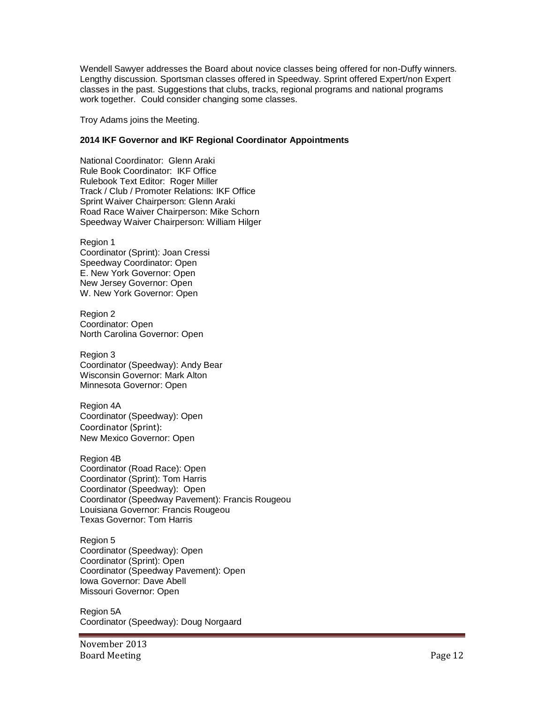Wendell Sawyer addresses the Board about novice classes being offered for non-Duffy winners. Lengthy discussion. Sportsman classes offered in Speedway. Sprint offered Expert/non Expert classes in the past. Suggestions that clubs, tracks, regional programs and national programs work together. Could consider changing some classes.

Troy Adams joins the Meeting.

#### **2014 IKF Governor and IKF Regional Coordinator Appointments**

National Coordinator: Glenn Araki Rule Book Coordinator: IKF Office Rulebook Text Editor: Roger Miller Track / Club / Promoter Relations: IKF Office Sprint Waiver Chairperson: Glenn Araki Road Race Waiver Chairperson: Mike Schorn Speedway Waiver Chairperson: William Hilger

Region 1 Coordinator (Sprint): Joan Cressi Speedway Coordinator: Open E. New York Governor: Open New Jersey Governor: Open W. New York Governor: Open

Region 2 Coordinator: Open North Carolina Governor: Open

Region 3 Coordinator (Speedway): Andy Bear Wisconsin Governor: Mark Alton Minnesota Governor: Open

Region 4A Coordinator (Speedway): Open Coordinator (Sprint): New Mexico Governor: Open

Region 4B Coordinator (Road Race): Open Coordinator (Sprint): Tom Harris Coordinator (Speedway): Open Coordinator (Speedway Pavement): Francis Rougeou Louisiana Governor: Francis Rougeou Texas Governor: Tom Harris

Region 5 Coordinator (Speedway): Open Coordinator (Sprint): Open Coordinator (Speedway Pavement): Open Iowa Governor: Dave Abell Missouri Governor: Open

Region 5A Coordinator (Speedway): Doug Norgaard

November 2013 Board Meeting Page 12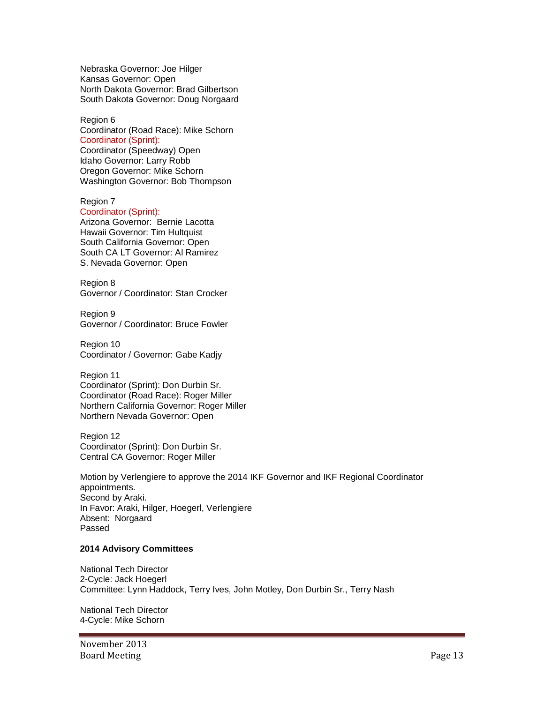Nebraska Governor: Joe Hilger Kansas Governor: Open North Dakota Governor: Brad Gilbertson South Dakota Governor: Doug Norgaard

#### Region 6

Coordinator (Road Race): Mike Schorn Coordinator (Sprint): Coordinator (Speedway) Open Idaho Governor: Larry Robb Oregon Governor: Mike Schorn Washington Governor: Bob Thompson

#### Region 7

# Coordinator (Sprint):

Arizona Governor: Bernie Lacotta Hawaii Governor: Tim Hultquist South California Governor: Open South CA LT Governor: Al Ramirez S. Nevada Governor: Open

Region 8 Governor / Coordinator: Stan Crocker

Region 9 Governor / Coordinator: Bruce Fowler

Region 10 Coordinator / Governor: Gabe Kadjy

Region 11 Coordinator (Sprint): Don Durbin Sr. Coordinator (Road Race): Roger Miller Northern California Governor: Roger Miller Northern Nevada Governor: Open

Region 12 Coordinator (Sprint): Don Durbin Sr. Central CA Governor: Roger Miller

Motion by Verlengiere to approve the 2014 IKF Governor and IKF Regional Coordinator appointments. Second by Araki. In Favor: Araki, Hilger, Hoegerl, Verlengiere Absent: Norgaard Passed

#### **2014 Advisory Committees**

National Tech Director 2-Cycle: Jack Hoegerl Committee: Lynn Haddock, Terry Ives, John Motley, Don Durbin Sr., Terry Nash

National Tech Director 4-Cycle: Mike Schorn

November 2013 Board Meeting Page 13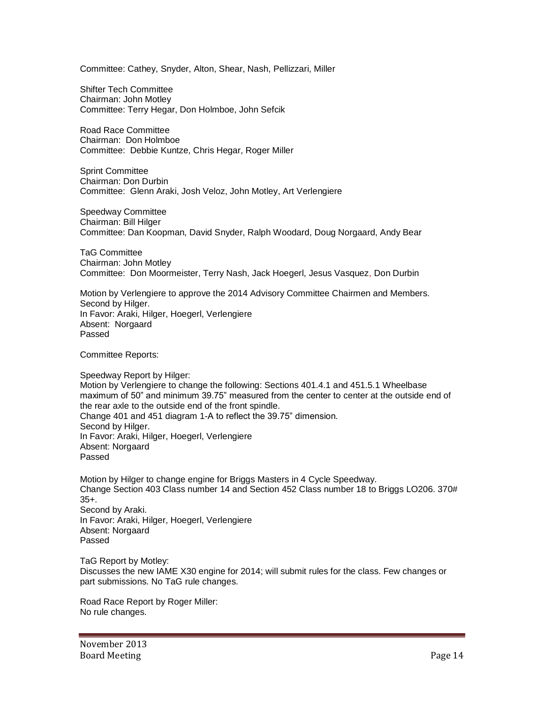Committee: Cathey, Snyder, Alton, Shear, Nash, Pellizzari, Miller

Shifter Tech Committee Chairman: John Motley Committee: Terry Hegar, Don Holmboe, John Sefcik

Road Race Committee Chairman: Don Holmboe Committee: Debbie Kuntze, Chris Hegar, Roger Miller

Sprint Committee Chairman: Don Durbin Committee: Glenn Araki, Josh Veloz, John Motley, Art Verlengiere

Speedway Committee Chairman: Bill Hilger Committee: Dan Koopman, David Snyder, Ralph Woodard, Doug Norgaard, Andy Bear

TaG Committee Chairman: John Motley Committee: Don Moormeister, Terry Nash, Jack Hoegerl, Jesus Vasquez, Don Durbin

Motion by Verlengiere to approve the 2014 Advisory Committee Chairmen and Members. Second by Hilger. In Favor: Araki, Hilger, Hoegerl, Verlengiere Absent: Norgaard Passed

Committee Reports:

Speedway Report by Hilger: Motion by Verlengiere to change the following: Sections 401.4.1 and 451.5.1 Wheelbase maximum of 50" and minimum 39.75" measured from the center to center at the outside end of the rear axle to the outside end of the front spindle. Change 401 and 451 diagram 1-A to reflect the 39.75" dimension. Second by Hilger. In Favor: Araki, Hilger, Hoegerl, Verlengiere Absent: Norgaard Passed

Motion by Hilger to change engine for Briggs Masters in 4 Cycle Speedway. Change Section 403 Class number 14 and Section 452 Class number 18 to Briggs LO206. 370# 35+. Second by Araki. In Favor: Araki, Hilger, Hoegerl, Verlengiere Absent: Norgaard Passed

TaG Report by Motley: Discusses the new IAME X30 engine for 2014; will submit rules for the class. Few changes or part submissions. No TaG rule changes.

Road Race Report by Roger Miller: No rule changes.

November 2013 Board Meeting Page 14